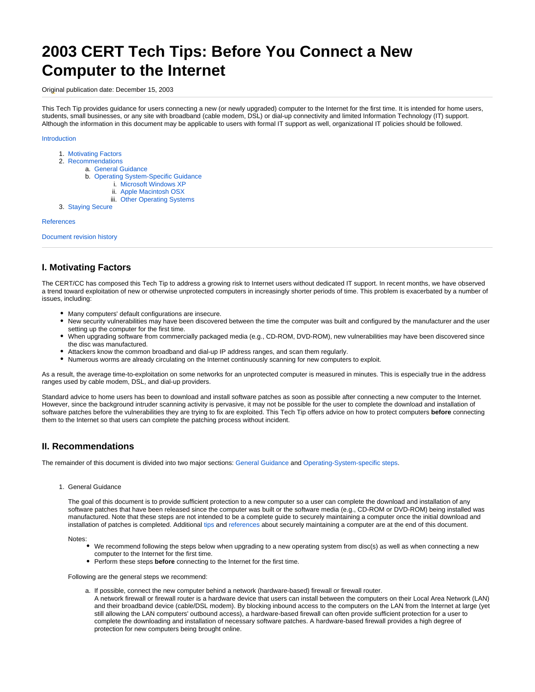# **2003 CERT Tech Tips: Before You Connect a New Computer to the Internet**

<span id="page-0-0"></span>Original publication date: December 15, 2003

This Tech Tip provides guidance for users connecting a new (or newly upgraded) computer to the Internet for the first time. It is intended for home users, students, small businesses, or any site with broadband (cable modem, DSL) or dial-up connectivity and limited Information Technology (IT) support. Although the information in this document may be applicable to users with formal IT support as well, organizational IT policies should be followed.

## [Introduction](#page-0-0)

- 1. [Motivating Factors](#page-0-1)
- 2. [Recommendations](#page-0-2)
	- a. [General Guidance](#page-0-3)
		- b. [Operating System-Specific Guidance](#page-1-0)
			- i. [Microsoft Windows XP](#page-1-1)
			- ii. [Apple Macintosh OSX](#page-1-2)
			- iii. [Other Operating Systems](#page-2-0)
- 3. [Staying Secure](#page-2-1)

## **[References](#page-2-2)**

[Document revision history](#page-3-0)

# <span id="page-0-1"></span>**I. Motivating Factors**

The CERT/CC has composed this Tech Tip to address a growing risk to Internet users without dedicated IT support. In recent months, we have observed a trend toward exploitation of new or otherwise unprotected computers in increasingly shorter periods of time. This problem is exacerbated by a number of issues, including:

- Many computers' default configurations are insecure.
- New security vulnerabilities may have been discovered between the time the computer was built and configured by the manufacturer and the user setting up the computer for the first time.
- When upgrading software from commercially packaged media (e.g., CD-ROM, DVD-ROM), new vulnerabilities may have been discovered since the disc was manufactured.
- Attackers know the common broadband and dial-up IP address ranges, and scan them regularly.
- Numerous worms are already circulating on the Internet continuously scanning for new computers to exploit.

As a result, the average time-to-exploitation on some networks for an unprotected computer is measured in minutes. This is especially true in the address ranges used by cable modem, DSL, and dial-up providers.

Standard advice to home users has been to download and install software patches as soon as possible after connecting a new computer to the Internet. However, since the background intruder scanning activity is pervasive, it may not be possible for the user to complete the download and installation of software patches before the vulnerabilities they are trying to fix are exploited. This Tech Tip offers advice on how to protect computers **before** connecting them to the Internet so that users can complete the patching process without incident.

# <span id="page-0-2"></span>**II. Recommendations**

<span id="page-0-3"></span>The remainder of this document is divided into two major sections: [General Guidance](#page-0-3) and [Operating-System-specific steps](#page-1-0).

1. General Guidance

The goal of this document is to provide sufficient protection to a new computer so a user can complete the download and installation of any software patches that have been released since the computer was built or the software media (e.g., CD-ROM or DVD-ROM) being installed was manufactured. Note that these steps are not intended to be a complete guide to securely maintaining a computer once the initial download and installation of patches is completed. Additional [tips](#page-2-1) and [references](#page-2-2) about securely maintaining a computer are at the end of this document.

Notes:

- We recommend following the steps below when upgrading to a new operating system from disc(s) as well as when connecting a new computer to the Internet for the first time.
- Perform these steps **before** connecting to the Internet for the first time.

Following are the general steps we recommend:

- a. If possible, connect the new computer behind a network (hardware-based) firewall or firewall router.
	- A network firewall or firewall router is a hardware device that users can install between the computers on their Local Area Network (LAN) and their broadband device (cable/DSL modem). By blocking inbound access to the computers on the LAN from the Internet at large (yet still allowing the LAN computers' outbound access), a hardware-based firewall can often provide sufficient protection for a user to complete the downloading and installation of necessary software patches. A hardware-based firewall provides a high degree of protection for new computers being brought online.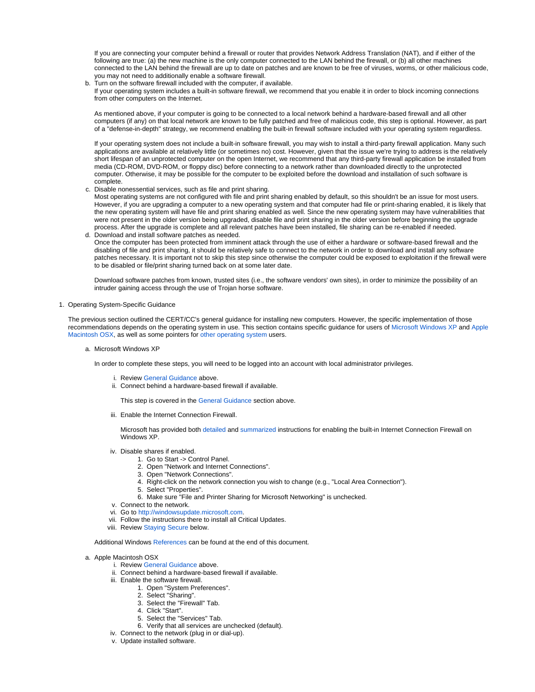If you are connecting your computer behind a firewall or router that provides Network Address Translation (NAT), and if either of the following are true: (a) the new machine is the only computer connected to the LAN behind the firewall, or (b) all other machines connected to the LAN behind the firewall are up to date on patches and are known to be free of viruses, worms, or other malicious code, you may not need to additionally enable a software firewall.

b. Turn on the software firewall included with the computer, if available. If your operating system includes a built-in software firewall, we recommend that you enable it in order to block incoming connections from other computers on the Internet.

As mentioned above, if your computer is going to be connected to a local network behind a hardware-based firewall and all other computers (if any) on that local network are known to be fully patched and free of malicious code, this step is optional. However, as part of a "defense-in-depth" strategy, we recommend enabling the built-in firewall software included with your operating system regardless.

If your operating system does not include a built-in software firewall, you may wish to install a third-party firewall application. Many such applications are available at relatively little (or sometimes no) cost. However, given that the issue we're trying to address is the relatively short lifespan of an unprotected computer on the open Internet, we recommend that any third-party firewall application be installed from media (CD-ROM, DVD-ROM, or floppy disc) before connecting to a network rather than downloaded directly to the unprotected computer. Otherwise, it may be possible for the computer to be exploited before the download and installation of such software is complete.

c. Disable nonessential services, such as file and print sharing.

Most operating systems are not configured with file and print sharing enabled by default, so this shouldn't be an issue for most users. However, if you are upgrading a computer to a new operating system and that computer had file or print-sharing enabled, it is likely that the new operating system will have file and print sharing enabled as well. Since the new operating system may have vulnerabilities that were not present in the older version being upgraded, disable file and print sharing in the older version before beginning the upgrade process. After the upgrade is complete and all relevant patches have been installed, file sharing can be re-enabled if needed.

d. Download and install software patches as needed. Once the computer has been protected from imminent attack through the use of either a hardware or software-based firewall and the disabling of file and print sharing, it should be relatively safe to connect to the network in order to download and install any software patches necessary. It is important not to skip this step since otherwise the computer could be exposed to exploitation if the firewall were to be disabled or file/print sharing turned back on at some later date.

Download software patches from known, trusted sites (i.e., the software vendors' own sites), in order to minimize the possibility of an intruder gaining access through the use of Trojan horse software.

## <span id="page-1-0"></span>1. Operating System-Specific Guidance

<span id="page-1-1"></span>The previous section outlined the CERT/CC's general guidance for installing new computers. However, the specific implementation of those recommendations depends on the operating system in use. This section contains specific guidance for users of [Microsoft Windows XP](#page-1-1) and [Apple](#page-1-2)  [Macintosh OSX](#page-1-2), as well as some pointers for [other operating system](#page-2-0) users.

a. Microsoft Windows XP

In order to complete these steps, you will need to be logged into an account with local administrator privileges.

- i. Review [General Guidance](#page-0-3) above.
- ii. Connect behind a hardware-based firewall if available.

This step is covered in the [General Guidance](#page-0-3) section above.

iii. Enable the Internet Connection Firewall.

Microsoft has provided both [detailed](http://www.microsoft.com/windowsxp/home/using/howto/homenet/icf.asp) and [summarized](http://www.microsoft.com/security/incident/icf.asp) instructions for enabling the built-in Internet Connection Firewall on Windows XP.

- iv. Disable shares if enabled.
	- 1. Go to Start -> Control Panel.
		- 2. Open "Network and Internet Connections".
		- 3. Open "Network Connections".
	- 4. Right-click on the network connection you wish to change (e.g., "Local Area Connection").
	- 5. Select "Properties". 6. Make sure "File and Printer Sharing for Microsoft Networking" is unchecked.
- v. Connect to the network.
- vi. Go to [http://windowsupdate.microsoft.com.](http://windowsupdate.microsoft.com)
- vii. Follow the instructions there to install all Critical Updates.
- viii. Review [Staying Secure](#page-2-1) below.

# Additional Windows [References](#page-2-2) can be found at the end of this document.

## <span id="page-1-2"></span>a. Apple Macintosh OSX

- i. Review [General Guidance](#page-0-3) above.
- ii. Connect behind a hardware-based firewall if available.
- iii. Enable the software firewall.
	- 1. Open "System Preferences".
	- 2. Select "Sharing".
	- 3. Select the "Firewall" Tab.
	- 4. Click "Start".
	- 5. Select the "Services" Tab.
	- 6. Verify that all services are unchecked (default).
- iv. Connect to the network (plug in or dial-up).
- v. Update installed software.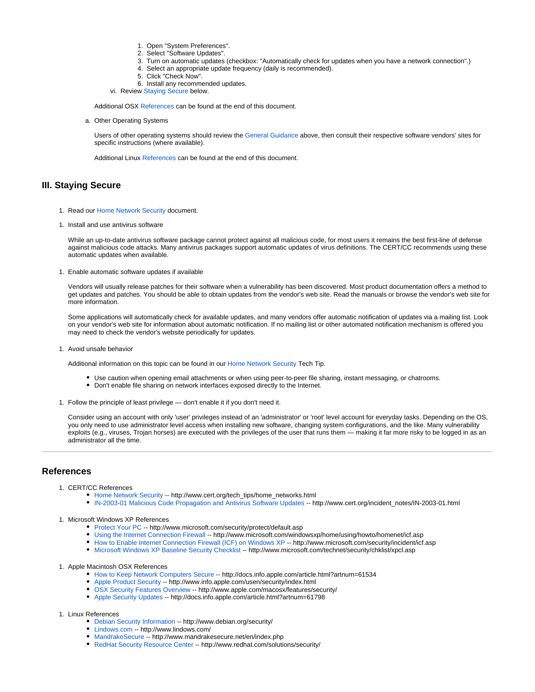- 1. Open "System Preferences".
- 2. Select "Software Updates".
- 3. Turn on automatic updates (checkbox: "Automatically check for updates when you have a network connection".)
- 4. Select an appropriate update frequency (daily is recommended).
- 5. Click "Check Now".
- 6. Install any recommended updates.
- vi. Review [Staying Secure](#page-2-1) below.

Additional OSX [References](#page-2-2) can be found at the end of this document.

a. Other Operating Systems

Users of other operating systems should review the [General Guidance](#page-0-3) above, then consult their respective software vendors' sites for specific instructions (where available).

Additional Linux [References](#page-2-2) can be found at the end of this document.

# <span id="page-2-1"></span><span id="page-2-0"></span>**III. Staying Secure**

- 1. Read our [Home Network Security](https://vuls.cert.org/tech_tips/home_networks.html) document.
- 1. Install and use antivirus software

While an up-to-date antivirus software package cannot protect against all malicious code, for most users it remains the best first-line of defense against malicious code attacks. Many antivirus packages support automatic updates of virus definitions. The CERT/CC recommends using these automatic updates when available.

1. Enable automatic software updates if available

Vendors will usually release patches for their software when a vulnerability has been discovered. Most product documentation offers a method to get updates and patches. You should be able to obtain updates from the vendor's web site. Read the manuals or browse the vendor's web site for more information.

Some applications will automatically check for available updates, and many vendors offer automatic notification of updates via a mailing list. Look on your vendor's web site for information about automatic notification. If no mailing list or other automated notification mechanism is offered you may need to check the vendor's website periodically for updates.

1. Avoid unsafe behavior

Additional information on this topic can be found in our [Home Network Security](https://vuls.cert.org/tech_tips/home_networks.html#IV) Tech Tip.

- Use caution when opening email attachments or when using peer-to-peer file sharing, instant messaging, or chatrooms.
- Don't enable file sharing on network interfaces exposed directly to the Internet.
- 1. Follow the principle of least privilege don't enable it if you don't need it.

Consider using an account with only 'user' privileges instead of an 'administrator' or 'root' level account for everyday tasks. Depending on the OS, you only need to use administrator level access when installing new software, changing system configurations, and the like. Many vulnerability exploits (e.g., viruses, Trojan horses) are executed with the privileges of the user that runs them — making it far more risky to be logged in as an administrator all the time.

# <span id="page-2-2"></span>**References**

- 1. CERT/CC References
	- [Home Network Security](https://vuls.cert.org/tech_tips/home_networks.html) -- http://www.cert.org/tech\_tips/home\_networks.html
	- [IN-2003-01 Malicious Code Propagation and Antivirus Software Updates](https://vuls.cert.org/incident_notes/IN-2003-01.html) -- http://www.cert.org/incident\_notes/IN-2003-01.html
- 1. Microsoft Windows XP References
	- [Protect Your PC](http://www.microsoft.com/security/protect/default.asp) -- http://www.microsoft.com/security/protect/default.asp
	- [Using the Internet Connection Firewall](http://www.microsoft.com/windowsxp/home/using/howto/homenet/icf.asp) -- http://www.microsoft.com/windowsxp/home/using/howto/homenet/icf.asp
	- [How to Enable Internet Connection Firewall \(ICF\) on Windows XP](http://www.microsoft.com/security/incident/icf.asp) -- http://www.microsoft.com/security/incident/icf.asp
	- [Microsoft Windows XP Baseline Security Checklist](http://www.microsoft.com/technet/security/chklist/xpcl.asp) -- http://www.microsoft.com/technet/security/chklist/xpcl.asp

## 1. Apple Macintosh OSX References

- [How to Keep Network Computers Secure](http://docs.info.apple.com/article.html?artnum=61534) -- http://docs.info.apple.com/article.html?artnum=61534
- [Apple Product Security](http://www.info.apple.com/usen/security/index.html) -- http://www.info.apple.com/usen/security/index.html
- [OSX Security Features Overview](http://www.apple.com/macosx/features/security/) -- http://www.apple.com/macosx/features/security/
- [Apple Security Updates](http://docs.info.apple.com/article.html?artnum=61798) -- http://docs.info.apple.com/article.html?artnum=61798

## 1. Linux References

- [Debian Security Information](http://www.debian.org/security/) -- http://www.debian.org/security/
- [Lindows.com](http://www.lindows.com/) -- http://www.lindows.com/
- [MandrakeSecure](http://www.mandrakesecure.net/en/index.php) -- http://www.mandrakesecure.net/en/index.php
- [RedHat Security Resource Center](http://www.redhat.com/solutions/security/) -- http://www.redhat.com/solutions/security/